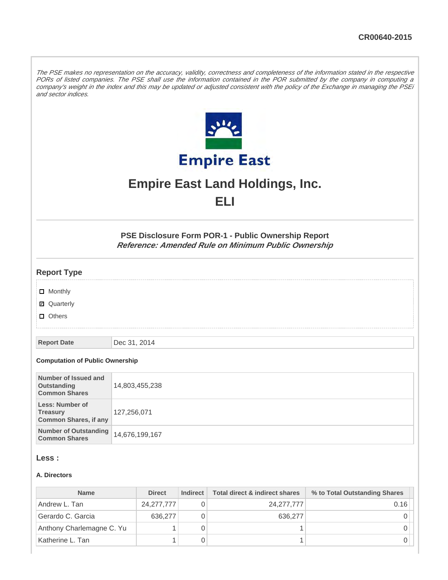The PSE makes no representation on the accuracy, validity, correctness and completeness of the information stated in the respective PORs of listed companies. The PSE shall use the information contained in the POR submitted by the company in computing a company's weight in the index and this may be updated or adjusted consistent with the policy of the Exchange in managing the PSEi and sector indices.



# **Empire East Land Holdings, Inc. ELI**

**PSE Disclosure Form POR-1 - Public Ownership Report Reference: Amended Rule on Minimum Public Ownership**

## **Report Type**

- **D** Monthly
- Quarterly
- **D** Others

**Report Date** Dec 31, 2014

#### **Computation of Public Ownership**

| Number of Issued and<br>Outstanding<br><b>Common Shares</b>               | 14,803,455,238 |
|---------------------------------------------------------------------------|----------------|
| <b>Less: Number of</b><br><b>Treasury</b><br><b>Common Shares, if any</b> | 127,256,071    |
| <b>Number of Outstanding</b><br><b>Common Shares</b>                      | 14,676,199,167 |

#### **Less :**

#### **A. Directors**

| <b>Name</b>               | <b>Direct</b> | <b>Indirect</b> | Total direct & indirect shares | % to Total Outstanding Shares |
|---------------------------|---------------|-----------------|--------------------------------|-------------------------------|
| Andrew L. Tan             | 24, 277, 777  |                 | 24, 277, 777                   | 0.16                          |
| Gerardo C. Garcia         | 636,277       |                 | 636,277                        |                               |
| Anthony Charlemagne C. Yu |               |                 |                                |                               |
| Katherine L. Tan          |               |                 |                                |                               |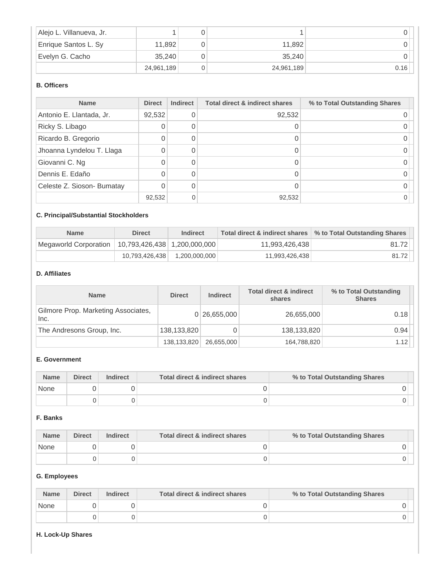| Alejo L. Villanueva, Jr. |            |            |      |
|--------------------------|------------|------------|------|
| Enrique Santos L. Sy     | 11,892     | 11.892     |      |
| Evelyn G. Cacho          | 35.240     | 35.240     |      |
|                          | 24,961,189 | 24,961,189 | 0.16 |

# **B. Officers**

| <b>Name</b>                | <b>Direct</b> | <b>Indirect</b> | <b>Total direct &amp; indirect shares</b> | % to Total Outstanding Shares |
|----------------------------|---------------|-----------------|-------------------------------------------|-------------------------------|
| Antonio E. Llantada, Jr.   | 92,532        |                 | 92,532                                    |                               |
| Ricky S. Libago            |               |                 |                                           |                               |
| Ricardo B. Gregorio        |               |                 |                                           |                               |
| Jhoanna Lyndelou T. Llaga  |               |                 |                                           |                               |
| Giovanni C. Ng             |               |                 |                                           |                               |
| Dennis E. Edaño            |               | N               |                                           |                               |
| Celeste Z. Sioson- Bumatay |               |                 |                                           |                               |
|                            | 92,532        |                 | 92,532                                    |                               |

# **C. Principal/Substantial Stockholders**

| <b>Name</b>                                            | <b>Direct</b>  | Indirect      |                | Total direct & indirect shares   % to Total Outstanding Shares |
|--------------------------------------------------------|----------------|---------------|----------------|----------------------------------------------------------------|
| Megaworld Corporation   10,793,426,438   1,200,000,000 |                |               | 11,993,426,438 | 81.72                                                          |
|                                                        | 10,793,426,438 | 1,200,000,000 | 11,993,426,438 | 81.72                                                          |

#### **D. Affiliates**

| <b>Name</b>                                 | <b>Direct</b> | <b>Indirect</b> | <b>Total direct &amp; indirect</b><br>shares | % to Total Outstanding<br><b>Shares</b> |
|---------------------------------------------|---------------|-----------------|----------------------------------------------|-----------------------------------------|
| Gilmore Prop. Marketing Associates,<br>Inc. |               | 0 26,655,000    | 26,655,000                                   | 0.18                                    |
| The Andresons Group, Inc.                   | 138,133,820   |                 | 138,133,820                                  | 0.94                                    |
|                                             | 138,133,820   | 26,655,000      | 164,788,820                                  | 1.12                                    |

## **E. Government**

| <b>Name</b> | <b>Direct</b> | <b>Indirect</b> | Total direct & indirect shares | % to Total Outstanding Shares |
|-------------|---------------|-----------------|--------------------------------|-------------------------------|
| None        |               |                 |                                |                               |
|             |               |                 |                                |                               |

# **F. Banks**

| <b>Name</b> | <b>Direct</b> | <b>Indirect</b> | Total direct & indirect shares | % to Total Outstanding Shares |
|-------------|---------------|-----------------|--------------------------------|-------------------------------|
| None        |               |                 |                                |                               |
|             |               |                 |                                |                               |

## **G. Employees**

| <b>Name</b> | <b>Direct</b> | <b>Indirect</b> | Total direct & indirect shares | % to Total Outstanding Shares |
|-------------|---------------|-----------------|--------------------------------|-------------------------------|
| None        |               |                 |                                |                               |
|             |               |                 |                                |                               |

#### **H. Lock-Up Shares**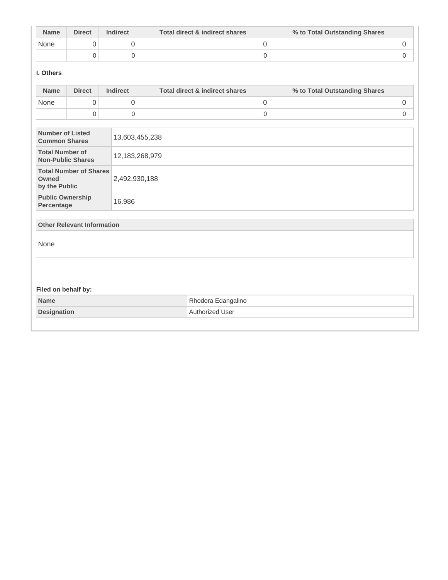| <b>Name</b> | <b>Direct</b> | <b>Indirect</b> | Total direct & indirect shares | % to Total Outstanding Shares |
|-------------|---------------|-----------------|--------------------------------|-------------------------------|
| None        |               |                 |                                |                               |
|             |               |                 |                                |                               |

## **I. Others**

| None                                                    |             |                  |                    | % to Total Outstanding Shares |
|---------------------------------------------------------|-------------|------------------|--------------------|-------------------------------|
|                                                         | 0           | 0                | 0                  | 0                             |
|                                                         | $\mathbf 0$ | $\boldsymbol{0}$ | $\mathsf 0$        | 0                             |
| <b>Number of Listed</b><br><b>Common Shares</b>         |             |                  | 13,603,455,238     |                               |
| <b>Total Number of</b><br><b>Non-Public Shares</b>      |             |                  | 12, 183, 268, 979  |                               |
| <b>Total Number of Shares</b><br>Owned<br>by the Public |             | 2,492,930,188    |                    |                               |
| <b>Public Ownership</b><br>Percentage                   |             | 16.986           |                    |                               |
| <b>Other Relevant Information</b>                       |             |                  |                    |                               |
| None                                                    |             |                  |                    |                               |
|                                                         |             |                  |                    |                               |
| Filed on behalf by:                                     |             |                  |                    |                               |
| <b>Name</b>                                             |             |                  | Rhodora Edangalino |                               |
| <b>Designation</b>                                      |             |                  | Authorized User    |                               |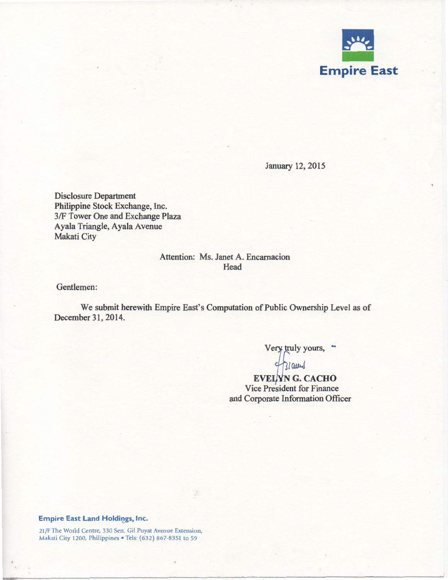

January 12, 2015

Disclosure Department Philippine Stock Exchange, Inc. 3/F Tower One and Exchange Plaza Ayala Triangle, Ayala Avenue Makati City

# Attention: Ms. Janet A. Encarnacion **Head**

Gentlemen:

We submit herewith Empire East's Computation of Public Ownership Level as of December 31,2014.

Very truly yours, .

I QJJJ.J

EVEL YN G. CACHO Vice President for Finance and Corporate Information Officer

#### Empire East Land Holdings, Inc.

. ...,.

21/FThe World Centre, 330 Sen. Gil Puyat Avenue Extension, Makati City 1200, Philippines • Tels: (632) 867-8351 to 59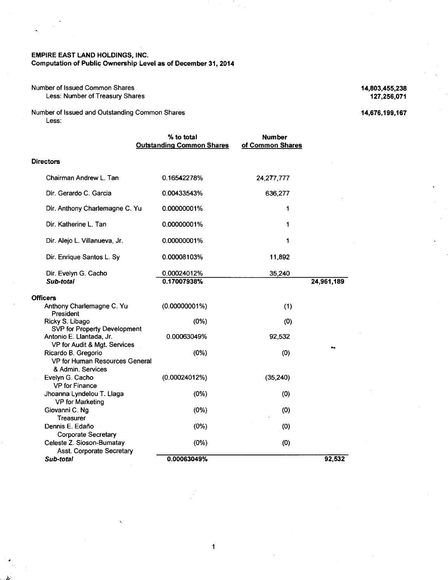#### **EMPIRE EAST LAND HOLDINGS, INC. Computation of Publiq Ownership Level as of December 31, 2014**

#### Number of Issued Common Shares Less: Number of Treasury Shares

Number of Issued and Outstanding Common Shares Less:

|                                                                                   | % to total<br><b>Outstanding Common Shares</b> | <b>Number</b><br>of Common Shares |            |
|-----------------------------------------------------------------------------------|------------------------------------------------|-----------------------------------|------------|
| <b>Directors</b>                                                                  |                                                |                                   |            |
| Chairman Andrew L. Tan                                                            | 0.16542278%                                    | 24, 277, 777                      |            |
| Dir. Gerardo C. Garcia                                                            | 0.00433543%                                    | 636,277                           |            |
| Dir. Anthony Charlemagne C. Yu                                                    | 0.00000001%                                    |                                   |            |
| Dir. Katherine L. Tan                                                             | 0.00000001%                                    |                                   |            |
| Dir. Alejo L. Villanueva, Jr.                                                     | 0.00000001%                                    |                                   |            |
| Dir. Enrique Santos L. Sy                                                         | 0.00008103%                                    | 11,892                            |            |
| Dir. Evelyn G. Cacho<br>Sub-total                                                 | 0.00024012%<br>0.17007938%                     | 35,240                            | 24,961,189 |
| <b>Officers</b>                                                                   |                                                |                                   |            |
| Anthony Charlemagne C. Yu<br>President                                            | $(0.00000001\%)$                               | (1)                               |            |
| Ricky S. Libago<br>SVP for Property Development                                   | (0%)                                           | (0)                               |            |
| Antonio E. Llantada, Jr.<br>VP for Audit & Mgt. Services                          | 0.00063049%                                    | 92,532                            |            |
| Ricardo B. Gregorio<br><b>VP for Human Resources General</b><br>& Admin, Services | (0%)                                           | (0)                               |            |
| Evelyn G. Cacho<br><b>VP</b> for Finance                                          | (0.00024012%)                                  | (35, 240)                         |            |
| Jhoanna Lyndelou T. Llaga<br><b>VP</b> for Marketing                              | (0%)                                           | (0)                               |            |
| Giovanni C. Ng<br><b>Treasurer</b>                                                | (0%)                                           | (0)                               |            |
| Dennis E. Edaño<br><b>Corporate Secretary</b>                                     | (0%)                                           | (0)                               |            |
| Celeste Z. Sioson-Bumatay<br>Asst. Corporate Secretary                            | (0%)                                           | (0)                               |            |
| Sub-total                                                                         | 0.00063049%                                    |                                   | 92.532     |

**14,803,455,238 127,256,071** 

**14,676,199,167**